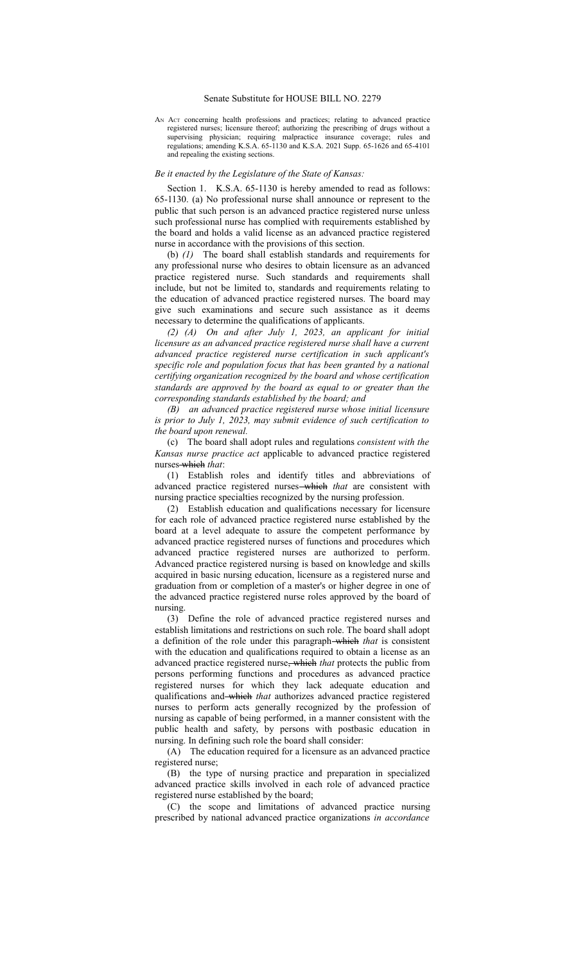## Senate Substitute for HOUSE BILL NO. 2279

AN Act concerning health professions and practices; relating to advanced practice registered nurses; licensure thereof; authorizing the prescribing of drugs without a supervising physician; requiring malpractice insurance coverage; rules and regulations; amending K.S.A. 65-1130 and K.S.A. 2021 Supp. 65-1626 and 65-4101 and repealing the existing sections.

## *Be it enacted by the Legislature of the State of Kansas:*

Section 1. K.S.A. 65-1130 is hereby amended to read as follows: 65-1130. (a) No professional nurse shall announce or represent to the public that such person is an advanced practice registered nurse unless such professional nurse has complied with requirements established by the board and holds a valid license as an advanced practice registered nurse in accordance with the provisions of this section.

(b) *(1)* The board shall establish standards and requirements for any professional nurse who desires to obtain licensure as an advanced practice registered nurse. Such standards and requirements shall include, but not be limited to, standards and requirements relating to the education of advanced practice registered nurses. The board may give such examinations and secure such assistance as it deems necessary to determine the qualifications of applicants.

*(2) (A) On and after July 1, 2023, an applicant for initial licensure as an advanced practice registered nurse shall have a current advanced practice registered nurse certification in such applicant's specific role and population focus that has been granted by a national certifying organization recognized by the board and whose certification standards are approved by the board as equal to or greater than the corresponding standards established by the board; and*

*(B) an advanced practice registered nurse whose initial licensure is prior to July 1, 2023, may submit evidence of such certification to the board upon renewal.*

(c) The board shall adopt rules and regulations *consistent with the Kansas nurse practice act* applicable to advanced practice registered nurses which *that*:

(1) Establish roles and identify titles and abbreviations of advanced practice registered nurses which *that* are consistent with nursing practice specialties recognized by the nursing profession.

(2) Establish education and qualifications necessary for licensure for each role of advanced practice registered nurse established by the board at a level adequate to assure the competent performance by advanced practice registered nurses of functions and procedures which advanced practice registered nurses are authorized to perform. Advanced practice registered nursing is based on knowledge and skills acquired in basic nursing education, licensure as a registered nurse and graduation from or completion of a master's or higher degree in one of the advanced practice registered nurse roles approved by the board of nursing.

(3) Define the role of advanced practice registered nurses and establish limitations and restrictions on such role. The board shall adopt a definition of the role under this paragraph which *that* is consistent with the education and qualifications required to obtain a license as an advanced practice registered nurse, which *that* protects the public from persons performing functions and procedures as advanced practice registered nurses for which they lack adequate education and qualifications and which *that* authorizes advanced practice registered nurses to perform acts generally recognized by the profession of nursing as capable of being performed, in a manner consistent with the public health and safety, by persons with postbasic education in nursing. In defining such role the board shall consider:

(A) The education required for a licensure as an advanced practice registered nurse;

(B) the type of nursing practice and preparation in specialized advanced practice skills involved in each role of advanced practice registered nurse established by the board;

(C) the scope and limitations of advanced practice nursing prescribed by national advanced practice organizations *in accordance*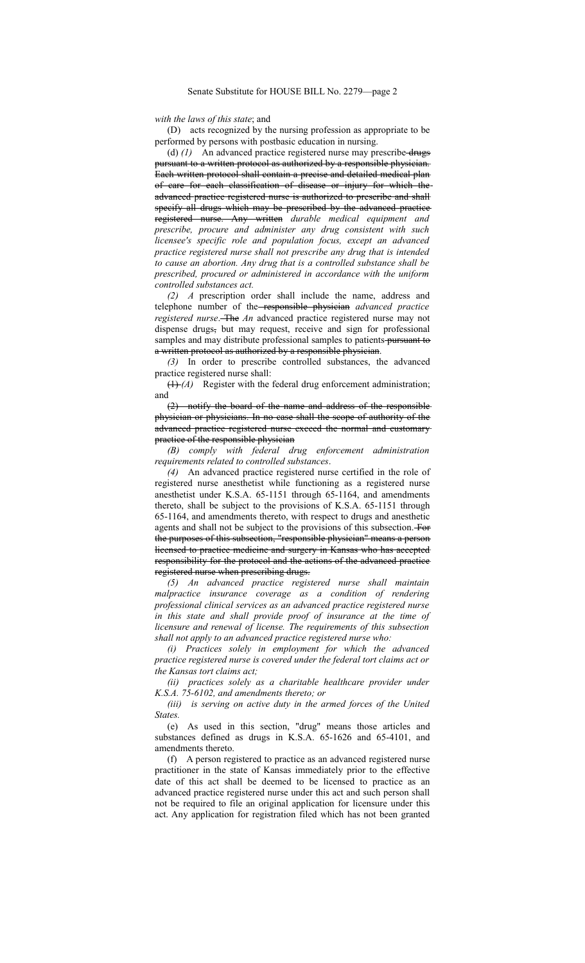*with the laws of this state*; and

(D) acts recognized by the nursing profession as appropriate to be performed by persons with postbasic education in nursing.

(d) (1) An advanced practice registered nurse may prescribe drugs pursuant to a written protocol as authorized by a responsible physician. Each written protocol shall contain a precise and detailed medical plan of care for each classification of disease or injury for which the advanced practice registered nurse is authorized to prescribe and shall specify all drugs which may be prescribed by the advanced practice registered nurse. Any written *durable medical equipment and prescribe, procure and administer any drug consistent with such licensee's specific role and population focus, except an advanced practice registered nurse shall not prescribe any drug that is intended to cause an abortion. Any drug that is a controlled substance shall be prescribed, procured or administered in accordance with the uniform controlled substances act.*

*(2) A* prescription order shall include the name, address and telephone number of the responsible physician *advanced practice registered nurse*. The An advanced practice registered nurse may not dispense drugs, but may request, receive and sign for professional samples and may distribute professional samples to patients pursuant to a written protocol as authorized by a responsible physician.

*(3)* In order to prescribe controlled substances, the advanced practice registered nurse shall:

(1) *(A)* Register with the federal drug enforcement administration; and

(2) notify the board of the name and address of the responsible physician or physicians. In no case shall the scope of authority of the advanced practice registered nurse exceed the normal and customary practice of the responsible physician

*(B) comply with federal drug enforcement administration requirements related to controlled substances*.

*(4)* An advanced practice registered nurse certified in the role of registered nurse anesthetist while functioning as a registered nurse anesthetist under K.S.A. 65-1151 through 65-1164, and amendments thereto, shall be subject to the provisions of K.S.A. 65-1151 through 65-1164, and amendments thereto, with respect to drugs and anesthetic agents and shall not be subject to the provisions of this subsection. For the purposes of this subsection, "responsible physician" means a person licensed to practice medicine and surgery in Kansas who has accepted responsibility for the protocol and the actions of the advanced practice registered nurse when prescribing drugs.

*(5) An advanced practice registered nurse shall maintain malpractice insurance coverage as a condition of rendering professional clinical services as an advanced practice registered nurse in this state and shall provide proof of insurance at the time of licensure and renewal of license. The requirements of this subsection shall not apply to an advanced practice registered nurse who:*

*(i) Practices solely in employment for which the advanced practice registered nurse is covered under the federal tort claims act or the Kansas tort claims act;*

*(ii) practices solely as a charitable healthcare provider under K.S.A. 75-6102, and amendments thereto; or*

*(iii) is serving on active duty in the armed forces of the United States.*

(e) As used in this section, "drug" means those articles and substances defined as drugs in K.S.A. 65-1626 and 65-4101, and amendments thereto.

(f) A person registered to practice as an advanced registered nurse practitioner in the state of Kansas immediately prior to the effective date of this act shall be deemed to be licensed to practice as an advanced practice registered nurse under this act and such person shall not be required to file an original application for licensure under this act. Any application for registration filed which has not been granted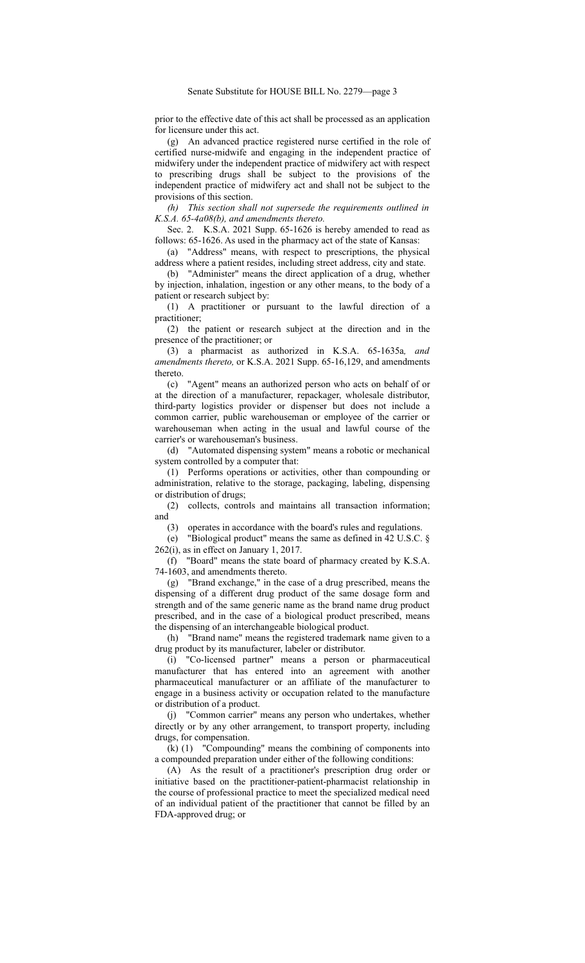prior to the effective date of this act shall be processed as an application for licensure under this act.

(g) An advanced practice registered nurse certified in the role of certified nurse-midwife and engaging in the independent practice of midwifery under the independent practice of midwifery act with respect to prescribing drugs shall be subject to the provisions of the independent practice of midwifery act and shall not be subject to the provisions of this section.

*(h) This section shall not supersede the requirements outlined in K.S.A. 65-4a08(b), and amendments thereto.*

Sec. 2. K.S.A. 2021 Supp. 65-1626 is hereby amended to read as follows: 65-1626. As used in the pharmacy act of the state of Kansas:

(a) "Address" means, with respect to prescriptions, the physical address where a patient resides, including street address, city and state.

(b) "Administer" means the direct application of a drug, whether by injection, inhalation, ingestion or any other means, to the body of a patient or research subject by:

(1) A practitioner or pursuant to the lawful direction of a practitioner;

(2) the patient or research subject at the direction and in the presence of the practitioner; or

(3) a pharmacist as authorized in K.S.A. 65-1635a*, and amendments thereto,* or K.S.A. 2021 Supp. 65-16,129, and amendments thereto.

(c) "Agent" means an authorized person who acts on behalf of or at the direction of a manufacturer, repackager, wholesale distributor, third-party logistics provider or dispenser but does not include a common carrier, public warehouseman or employee of the carrier or warehouseman when acting in the usual and lawful course of the carrier's or warehouseman's business.

(d) "Automated dispensing system" means a robotic or mechanical system controlled by a computer that:

(1) Performs operations or activities, other than compounding or administration, relative to the storage, packaging, labeling, dispensing or distribution of drugs;

(2) collects, controls and maintains all transaction information; and

(3) operates in accordance with the board's rules and regulations.

(e) "Biological product" means the same as defined in 42 U.S.C. § 262(i), as in effect on January 1, 2017.

(f) "Board" means the state board of pharmacy created by K.S.A. 74-1603, and amendments thereto.

(g) "Brand exchange," in the case of a drug prescribed, means the dispensing of a different drug product of the same dosage form and strength and of the same generic name as the brand name drug product prescribed, and in the case of a biological product prescribed, means the dispensing of an interchangeable biological product.

(h) "Brand name" means the registered trademark name given to a drug product by its manufacturer, labeler or distributor.

(i) "Co-licensed partner" means a person or pharmaceutical manufacturer that has entered into an agreement with another pharmaceutical manufacturer or an affiliate of the manufacturer to engage in a business activity or occupation related to the manufacture or distribution of a product.

(j) "Common carrier" means any person who undertakes, whether directly or by any other arrangement, to transport property, including drugs, for compensation.

(k) (1) "Compounding" means the combining of components into a compounded preparation under either of the following conditions:

(A) As the result of a practitioner's prescription drug order or initiative based on the practitioner-patient-pharmacist relationship in the course of professional practice to meet the specialized medical need of an individual patient of the practitioner that cannot be filled by an FDA-approved drug; or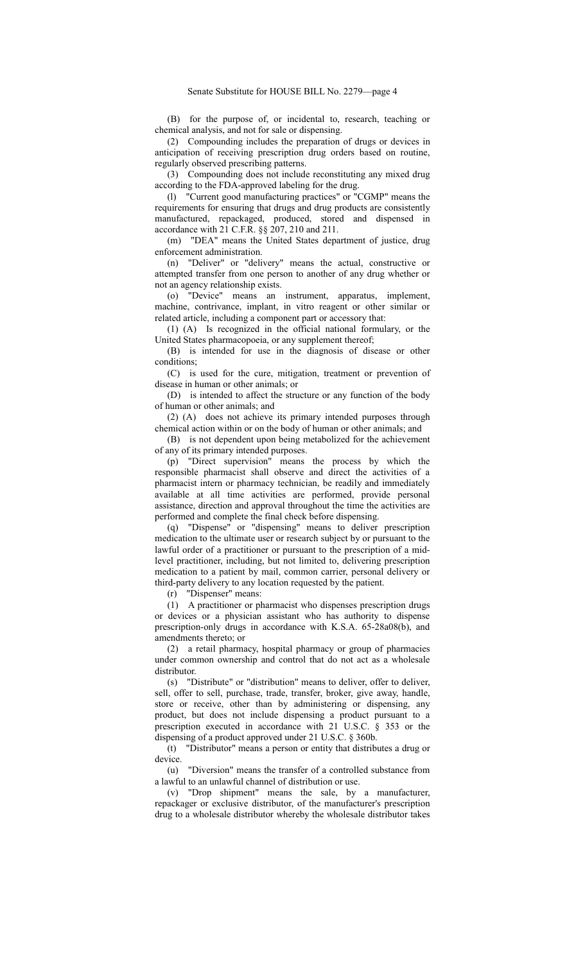(B) for the purpose of, or incidental to, research, teaching or chemical analysis, and not for sale or dispensing.

(2) Compounding includes the preparation of drugs or devices in anticipation of receiving prescription drug orders based on routine, regularly observed prescribing patterns.

(3) Compounding does not include reconstituting any mixed drug according to the FDA-approved labeling for the drug.

(l) "Current good manufacturing practices" or "CGMP" means the requirements for ensuring that drugs and drug products are consistently manufactured, repackaged, produced, stored and dispensed in accordance with 21 C.F.R. §§ 207, 210 and 211.

(m) "DEA" means the United States department of justice, drug enforcement administration.

(n) "Deliver" or "delivery" means the actual, constructive or attempted transfer from one person to another of any drug whether or not an agency relationship exists.

(o) "Device" means an instrument, apparatus, implement, machine, contrivance, implant, in vitro reagent or other similar or related article, including a component part or accessory that:

(1) (A) Is recognized in the official national formulary, or the United States pharmacopoeia, or any supplement thereof;

(B) is intended for use in the diagnosis of disease or other conditions;

(C) is used for the cure, mitigation, treatment or prevention of disease in human or other animals; or

(D) is intended to affect the structure or any function of the body of human or other animals; and

(2) (A) does not achieve its primary intended purposes through chemical action within or on the body of human or other animals; and

(B) is not dependent upon being metabolized for the achievement of any of its primary intended purposes.

(p) "Direct supervision" means the process by which the responsible pharmacist shall observe and direct the activities of a pharmacist intern or pharmacy technician, be readily and immediately available at all time activities are performed, provide personal assistance, direction and approval throughout the time the activities are performed and complete the final check before dispensing.

(q) "Dispense" or "dispensing" means to deliver prescription medication to the ultimate user or research subject by or pursuant to the lawful order of a practitioner or pursuant to the prescription of a midlevel practitioner, including, but not limited to, delivering prescription medication to a patient by mail, common carrier, personal delivery or third-party delivery to any location requested by the patient.

(r) "Dispenser" means:

(1) A practitioner or pharmacist who dispenses prescription drugs or devices or a physician assistant who has authority to dispense prescription-only drugs in accordance with K.S.A. 65-28a08(b), and amendments thereto; or

(2) a retail pharmacy, hospital pharmacy or group of pharmacies under common ownership and control that do not act as a wholesale distributor.

(s) "Distribute" or "distribution" means to deliver, offer to deliver, sell, offer to sell, purchase, trade, transfer, broker, give away, handle, store or receive, other than by administering or dispensing, any product, but does not include dispensing a product pursuant to a prescription executed in accordance with 21 U.S.C. § 353 or the dispensing of a product approved under 21 U.S.C. § 360b.

(t) "Distributor" means a person or entity that distributes a drug or device.

(u) "Diversion" means the transfer of a controlled substance from a lawful to an unlawful channel of distribution or use.

(v) "Drop shipment" means the sale, by a manufacturer, repackager or exclusive distributor, of the manufacturer's prescription drug to a wholesale distributor whereby the wholesale distributor takes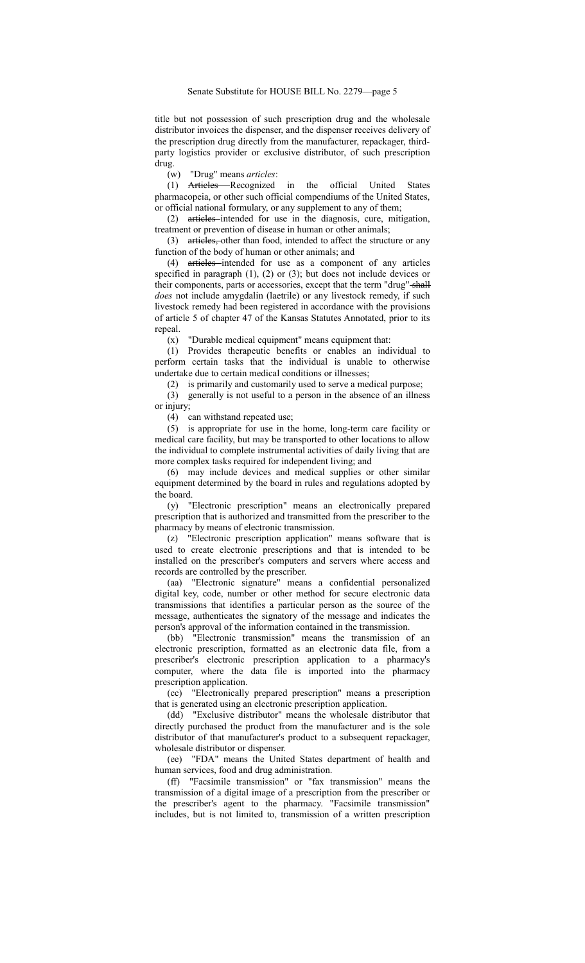title but not possession of such prescription drug and the wholesale distributor invoices the dispenser, and the dispenser receives delivery of the prescription drug directly from the manufacturer, repackager, thirdparty logistics provider or exclusive distributor, of such prescription drug.

(w) "Drug" means *articles*:

(1) Articles Recognized in the official United States pharmacopeia, or other such official compendiums of the United States, or official national formulary, or any supplement to any of them;

(2) articles intended for use in the diagnosis, cure, mitigation, treatment or prevention of disease in human or other animals;

(3) articles, other than food, intended to affect the structure or any function of the body of human or other animals; and

(4) articles intended for use as a component of any articles specified in paragraph (1), (2) or (3); but does not include devices or their components, parts or accessories, except that the term "drug" shall *does* not include amygdalin (laetrile) or any livestock remedy, if such livestock remedy had been registered in accordance with the provisions of article 5 of chapter 47 of the Kansas Statutes Annotated, prior to its repeal.

(x) "Durable medical equipment" means equipment that:

(1) Provides therapeutic benefits or enables an individual to perform certain tasks that the individual is unable to otherwise undertake due to certain medical conditions or illnesses;

(2) is primarily and customarily used to serve a medical purpose;

(3) generally is not useful to a person in the absence of an illness or injury;

(4) can withstand repeated use;

(5) is appropriate for use in the home, long-term care facility or medical care facility, but may be transported to other locations to allow the individual to complete instrumental activities of daily living that are more complex tasks required for independent living; and

(6) may include devices and medical supplies or other similar equipment determined by the board in rules and regulations adopted by the board.

(y) "Electronic prescription" means an electronically prepared prescription that is authorized and transmitted from the prescriber to the pharmacy by means of electronic transmission.

(z) "Electronic prescription application" means software that is used to create electronic prescriptions and that is intended to be installed on the prescriber's computers and servers where access and records are controlled by the prescriber.

(aa) "Electronic signature" means a confidential personalized digital key, code, number or other method for secure electronic data transmissions that identifies a particular person as the source of the message, authenticates the signatory of the message and indicates the person's approval of the information contained in the transmission.

(bb) "Electronic transmission" means the transmission of an electronic prescription, formatted as an electronic data file, from a prescriber's electronic prescription application to a pharmacy's computer, where the data file is imported into the pharmacy prescription application.

(cc) "Electronically prepared prescription" means a prescription that is generated using an electronic prescription application.

(dd) "Exclusive distributor" means the wholesale distributor that directly purchased the product from the manufacturer and is the sole distributor of that manufacturer's product to a subsequent repackager, wholesale distributor or dispenser.

(ee) "FDA" means the United States department of health and human services, food and drug administration.

(ff) "Facsimile transmission" or "fax transmission" means the transmission of a digital image of a prescription from the prescriber or the prescriber's agent to the pharmacy. "Facsimile transmission" includes, but is not limited to, transmission of a written prescription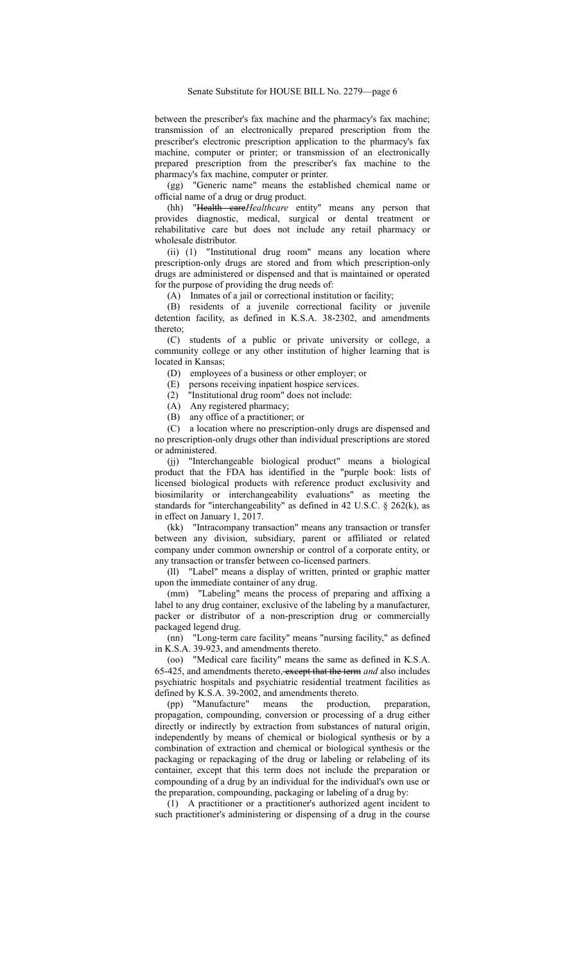between the prescriber's fax machine and the pharmacy's fax machine; transmission of an electronically prepared prescription from the prescriber's electronic prescription application to the pharmacy's fax machine, computer or printer; or transmission of an electronically prepared prescription from the prescriber's fax machine to the pharmacy's fax machine, computer or printer.

(gg) "Generic name" means the established chemical name or official name of a drug or drug product.

(hh) "Health care*Healthcare* entity" means any person that provides diagnostic, medical, surgical or dental treatment or rehabilitative care but does not include any retail pharmacy or wholesale distributor.

(ii) (1) "Institutional drug room" means any location where prescription-only drugs are stored and from which prescription-only drugs are administered or dispensed and that is maintained or operated for the purpose of providing the drug needs of:

(A) Inmates of a jail or correctional institution or facility;

(B) residents of a juvenile correctional facility or juvenile detention facility, as defined in K.S.A. 38-2302, and amendments thereto;

(C) students of a public or private university or college, a community college or any other institution of higher learning that is located in Kansas;

(D) employees of a business or other employer; or

(E) persons receiving inpatient hospice services.

(2) "Institutional drug room" does not include:

(A) Any registered pharmacy;

(B) any office of a practitioner; or

(C) a location where no prescription-only drugs are dispensed and no prescription-only drugs other than individual prescriptions are stored or administered.

(jj) "Interchangeable biological product" means a biological product that the FDA has identified in the "purple book: lists of licensed biological products with reference product exclusivity and biosimilarity or interchangeability evaluations" as meeting the standards for "interchangeability" as defined in 42 U.S.C. § 262(k), as in effect on January 1, 2017.

(kk) "Intracompany transaction" means any transaction or transfer between any division, subsidiary, parent or affiliated or related company under common ownership or control of a corporate entity, or any transaction or transfer between co-licensed partners.

(ll) "Label" means a display of written, printed or graphic matter upon the immediate container of any drug.

(mm) "Labeling" means the process of preparing and affixing a label to any drug container, exclusive of the labeling by a manufacturer, packer or distributor of a non-prescription drug or commercially packaged legend drug.

(nn) "Long-term care facility" means "nursing facility," as defined in K.S.A. 39-923, and amendments thereto.

(oo) "Medical care facility" means the same as defined in K.S.A. 65-425, and amendments thereto, except that the term *and* also includes psychiatric hospitals and psychiatric residential treatment facilities as defined by K.S.A. 39-2002, and amendments thereto.

(pp) "Manufacture" means the production, preparation, propagation, compounding, conversion or processing of a drug either directly or indirectly by extraction from substances of natural origin, independently by means of chemical or biological synthesis or by a combination of extraction and chemical or biological synthesis or the packaging or repackaging of the drug or labeling or relabeling of its container, except that this term does not include the preparation or compounding of a drug by an individual for the individual's own use or the preparation, compounding, packaging or labeling of a drug by:

(1) A practitioner or a practitioner's authorized agent incident to such practitioner's administering or dispensing of a drug in the course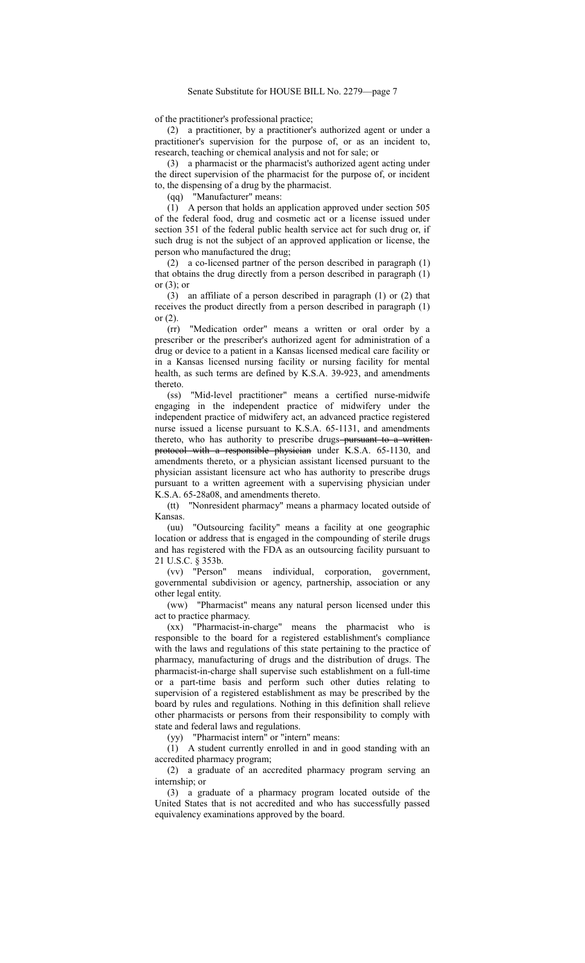of the practitioner's professional practice;

(2) a practitioner, by a practitioner's authorized agent or under a practitioner's supervision for the purpose of, or as an incident to, research, teaching or chemical analysis and not for sale; or

(3) a pharmacist or the pharmacist's authorized agent acting under the direct supervision of the pharmacist for the purpose of, or incident to, the dispensing of a drug by the pharmacist.

(qq) "Manufacturer" means:

(1) A person that holds an application approved under section 505 of the federal food, drug and cosmetic act or a license issued under section 351 of the federal public health service act for such drug or, if such drug is not the subject of an approved application or license, the person who manufactured the drug;

(2) a co-licensed partner of the person described in paragraph (1) that obtains the drug directly from a person described in paragraph (1) or  $(3)$ ; or

(3) an affiliate of a person described in paragraph (1) or (2) that receives the product directly from a person described in paragraph (1) or (2).

(rr) "Medication order" means a written or oral order by a prescriber or the prescriber's authorized agent for administration of a drug or device to a patient in a Kansas licensed medical care facility or in a Kansas licensed nursing facility or nursing facility for mental health, as such terms are defined by K.S.A. 39-923, and amendments thereto.

(ss) "Mid-level practitioner" means a certified nurse-midwife engaging in the independent practice of midwifery under the independent practice of midwifery act, an advanced practice registered nurse issued a license pursuant to K.S.A. 65-1131, and amendments thereto, who has authority to prescribe drugs-pursuant to a writtenprotocol with a responsible physician under K.S.A. 65-1130, and amendments thereto, or a physician assistant licensed pursuant to the physician assistant licensure act who has authority to prescribe drugs pursuant to a written agreement with a supervising physician under K.S.A. 65-28a08, and amendments thereto.

(tt) "Nonresident pharmacy" means a pharmacy located outside of Kansas.

(uu) "Outsourcing facility" means a facility at one geographic location or address that is engaged in the compounding of sterile drugs and has registered with the FDA as an outsourcing facility pursuant to 21 U.S.C. § 353b.

(vv) "Person" means individual, corporation, government, governmental subdivision or agency, partnership, association or any other legal entity.

(ww) "Pharmacist" means any natural person licensed under this act to practice pharmacy.

(xx) "Pharmacist-in-charge" means the pharmacist who is responsible to the board for a registered establishment's compliance with the laws and regulations of this state pertaining to the practice of pharmacy, manufacturing of drugs and the distribution of drugs. The pharmacist-in-charge shall supervise such establishment on a full-time or a part-time basis and perform such other duties relating to supervision of a registered establishment as may be prescribed by the board by rules and regulations. Nothing in this definition shall relieve other pharmacists or persons from their responsibility to comply with state and federal laws and regulations.

(yy) "Pharmacist intern" or "intern" means:

(1) A student currently enrolled in and in good standing with an accredited pharmacy program;

(2) a graduate of an accredited pharmacy program serving an internship; or

(3) a graduate of a pharmacy program located outside of the United States that is not accredited and who has successfully passed equivalency examinations approved by the board.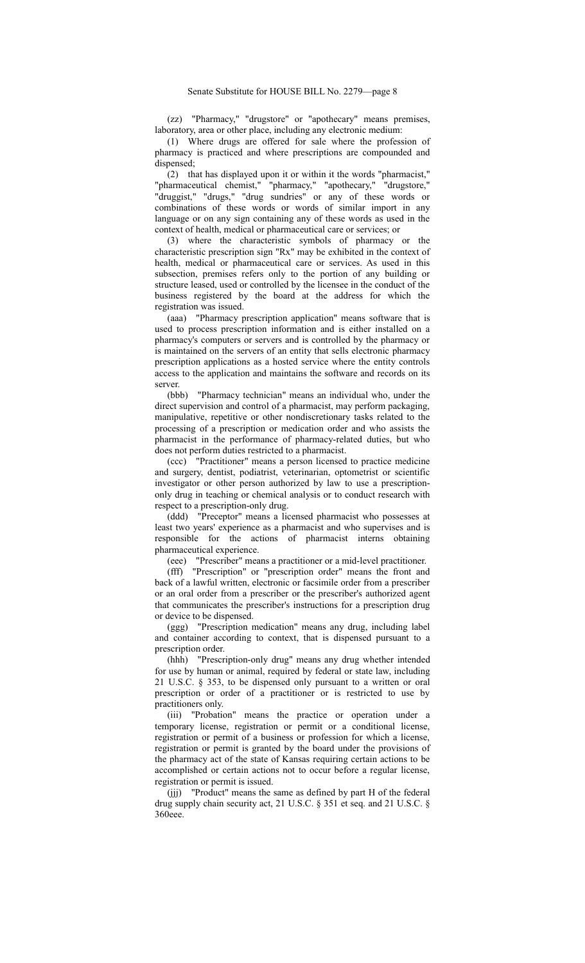(zz) "Pharmacy," "drugstore" or "apothecary" means premises, laboratory, area or other place, including any electronic medium:

(1) Where drugs are offered for sale where the profession of pharmacy is practiced and where prescriptions are compounded and dispensed;

(2) that has displayed upon it or within it the words "pharmacist," "pharmaceutical chemist," "pharmacy," "apothecary," "drugstore," "druggist," "drugs," "drug sundries" or any of these words or combinations of these words or words of similar import in any language or on any sign containing any of these words as used in the context of health, medical or pharmaceutical care or services; or

(3) where the characteristic symbols of pharmacy or the characteristic prescription sign "Rx" may be exhibited in the context of health, medical or pharmaceutical care or services. As used in this subsection, premises refers only to the portion of any building or structure leased, used or controlled by the licensee in the conduct of the business registered by the board at the address for which the registration was issued.

(aaa) "Pharmacy prescription application" means software that is used to process prescription information and is either installed on a pharmacy's computers or servers and is controlled by the pharmacy or is maintained on the servers of an entity that sells electronic pharmacy prescription applications as a hosted service where the entity controls access to the application and maintains the software and records on its server.

(bbb) "Pharmacy technician" means an individual who, under the direct supervision and control of a pharmacist, may perform packaging, manipulative, repetitive or other nondiscretionary tasks related to the processing of a prescription or medication order and who assists the pharmacist in the performance of pharmacy-related duties, but who does not perform duties restricted to a pharmacist.

(ccc) "Practitioner" means a person licensed to practice medicine and surgery, dentist, podiatrist, veterinarian, optometrist or scientific investigator or other person authorized by law to use a prescriptiononly drug in teaching or chemical analysis or to conduct research with respect to a prescription-only drug.

(ddd) "Preceptor" means a licensed pharmacist who possesses at least two years' experience as a pharmacist and who supervises and is responsible for the actions of pharmacist interns obtaining pharmaceutical experience.

(eee) "Prescriber" means a practitioner or a mid-level practitioner.

(fff) "Prescription" or "prescription order" means the front and back of a lawful written, electronic or facsimile order from a prescriber or an oral order from a prescriber or the prescriber's authorized agent that communicates the prescriber's instructions for a prescription drug or device to be dispensed.

(ggg) "Prescription medication" means any drug, including label and container according to context, that is dispensed pursuant to a prescription order.

(hhh) "Prescription-only drug" means any drug whether intended for use by human or animal, required by federal or state law, including 21 U.S.C. § 353, to be dispensed only pursuant to a written or oral prescription or order of a practitioner or is restricted to use by practitioners only.

(iii) "Probation" means the practice or operation under a temporary license, registration or permit or a conditional license, registration or permit of a business or profession for which a license, registration or permit is granted by the board under the provisions of the pharmacy act of the state of Kansas requiring certain actions to be accomplished or certain actions not to occur before a regular license, registration or permit is issued.

(jjj) "Product" means the same as defined by part H of the federal drug supply chain security act, 21 U.S.C. § 351 et seq. and 21 U.S.C. § 360eee.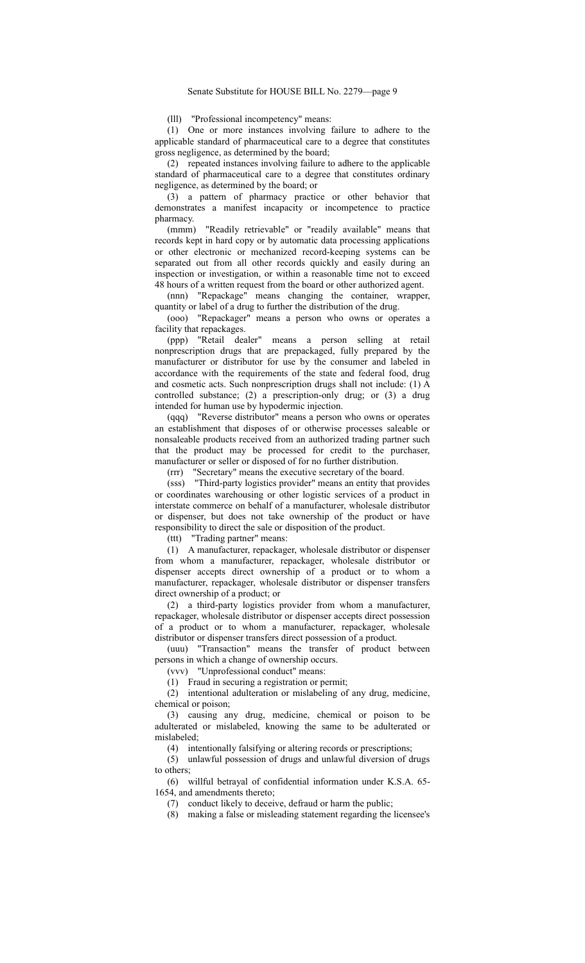(lll) "Professional incompetency" means:

(1) One or more instances involving failure to adhere to the applicable standard of pharmaceutical care to a degree that constitutes gross negligence, as determined by the board;

(2) repeated instances involving failure to adhere to the applicable standard of pharmaceutical care to a degree that constitutes ordinary negligence, as determined by the board; or

(3) a pattern of pharmacy practice or other behavior that demonstrates a manifest incapacity or incompetence to practice pharmacy.

(mmm) "Readily retrievable" or "readily available" means that records kept in hard copy or by automatic data processing applications or other electronic or mechanized record-keeping systems can be separated out from all other records quickly and easily during an inspection or investigation, or within a reasonable time not to exceed 48 hours of a written request from the board or other authorized agent.

(nnn) "Repackage" means changing the container, wrapper, quantity or label of a drug to further the distribution of the drug.

(ooo) "Repackager" means a person who owns or operates a facility that repackages.

(ppp) "Retail dealer" means a person selling at retail nonprescription drugs that are prepackaged, fully prepared by the manufacturer or distributor for use by the consumer and labeled in accordance with the requirements of the state and federal food, drug and cosmetic acts. Such nonprescription drugs shall not include: (1) A controlled substance; (2) a prescription-only drug; or (3) a drug intended for human use by hypodermic injection.

(qqq) "Reverse distributor" means a person who owns or operates an establishment that disposes of or otherwise processes saleable or nonsaleable products received from an authorized trading partner such that the product may be processed for credit to the purchaser, manufacturer or seller or disposed of for no further distribution.

(rrr) "Secretary" means the executive secretary of the board.

(sss) "Third-party logistics provider" means an entity that provides or coordinates warehousing or other logistic services of a product in interstate commerce on behalf of a manufacturer, wholesale distributor or dispenser, but does not take ownership of the product or have responsibility to direct the sale or disposition of the product.

(ttt) "Trading partner" means:

(1) A manufacturer, repackager, wholesale distributor or dispenser from whom a manufacturer, repackager, wholesale distributor or dispenser accepts direct ownership of a product or to whom a manufacturer, repackager, wholesale distributor or dispenser transfers direct ownership of a product; or

(2) a third-party logistics provider from whom a manufacturer, repackager, wholesale distributor or dispenser accepts direct possession of a product or to whom a manufacturer, repackager, wholesale distributor or dispenser transfers direct possession of a product.

(uuu) "Transaction" means the transfer of product between persons in which a change of ownership occurs.

(vvv) "Unprofessional conduct" means:

(1) Fraud in securing a registration or permit;

(2) intentional adulteration or mislabeling of any drug, medicine, chemical or poison;

(3) causing any drug, medicine, chemical or poison to be adulterated or mislabeled, knowing the same to be adulterated or mislabeled;

(4) intentionally falsifying or altering records or prescriptions;

(5) unlawful possession of drugs and unlawful diversion of drugs to others;

(6) willful betrayal of confidential information under K.S.A. 65- 1654, and amendments thereto;

(7) conduct likely to deceive, defraud or harm the public;

(8) making a false or misleading statement regarding the licensee's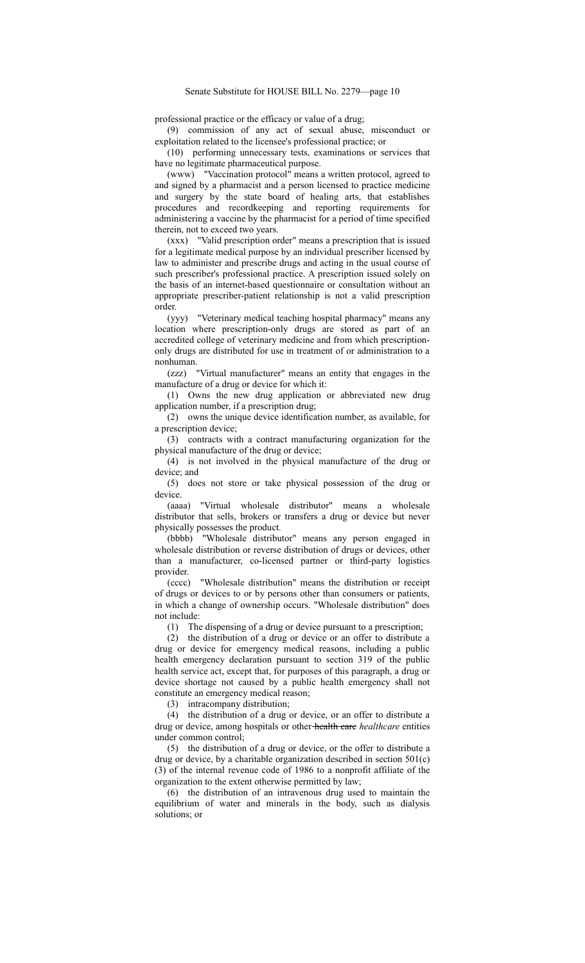professional practice or the efficacy or value of a drug;

(9) commission of any act of sexual abuse, misconduct or exploitation related to the licensee's professional practice; or

(10) performing unnecessary tests, examinations or services that have no legitimate pharmaceutical purpose.

(www) "Vaccination protocol" means a written protocol, agreed to and signed by a pharmacist and a person licensed to practice medicine and surgery by the state board of healing arts, that establishes procedures and recordkeeping and reporting requirements for administering a vaccine by the pharmacist for a period of time specified therein, not to exceed two years.

(xxx) "Valid prescription order" means a prescription that is issued for a legitimate medical purpose by an individual prescriber licensed by law to administer and prescribe drugs and acting in the usual course of such prescriber's professional practice. A prescription issued solely on the basis of an internet-based questionnaire or consultation without an appropriate prescriber-patient relationship is not a valid prescription order.

(yyy) "Veterinary medical teaching hospital pharmacy" means any location where prescription-only drugs are stored as part of an accredited college of veterinary medicine and from which prescriptiononly drugs are distributed for use in treatment of or administration to a nonhuman.

(zzz) "Virtual manufacturer" means an entity that engages in the manufacture of a drug or device for which it:

(1) Owns the new drug application or abbreviated new drug application number, if a prescription drug;

(2) owns the unique device identification number, as available, for a prescription device;

(3) contracts with a contract manufacturing organization for the physical manufacture of the drug or device;

(4) is not involved in the physical manufacture of the drug or device; and

(5) does not store or take physical possession of the drug or device.

(aaaa) "Virtual wholesale distributor" means a wholesale distributor that sells, brokers or transfers a drug or device but never physically possesses the product.

(bbbb) "Wholesale distributor" means any person engaged in wholesale distribution or reverse distribution of drugs or devices, other than a manufacturer, co-licensed partner or third-party logistics provider.

(cccc) "Wholesale distribution" means the distribution or receipt of drugs or devices to or by persons other than consumers or patients, in which a change of ownership occurs. "Wholesale distribution" does not include:

(1) The dispensing of a drug or device pursuant to a prescription;

(2) the distribution of a drug or device or an offer to distribute a drug or device for emergency medical reasons, including a public health emergency declaration pursuant to section 319 of the public health service act, except that, for purposes of this paragraph, a drug or device shortage not caused by a public health emergency shall not constitute an emergency medical reason;

(3) intracompany distribution;

(4) the distribution of a drug or device, or an offer to distribute a drug or device, among hospitals or other health care *healthcare* entities under common control;

(5) the distribution of a drug or device, or the offer to distribute a drug or device, by a charitable organization described in section 501(c) (3) of the internal revenue code of 1986 to a nonprofit affiliate of the organization to the extent otherwise permitted by law;

(6) the distribution of an intravenous drug used to maintain the equilibrium of water and minerals in the body, such as dialysis solutions; or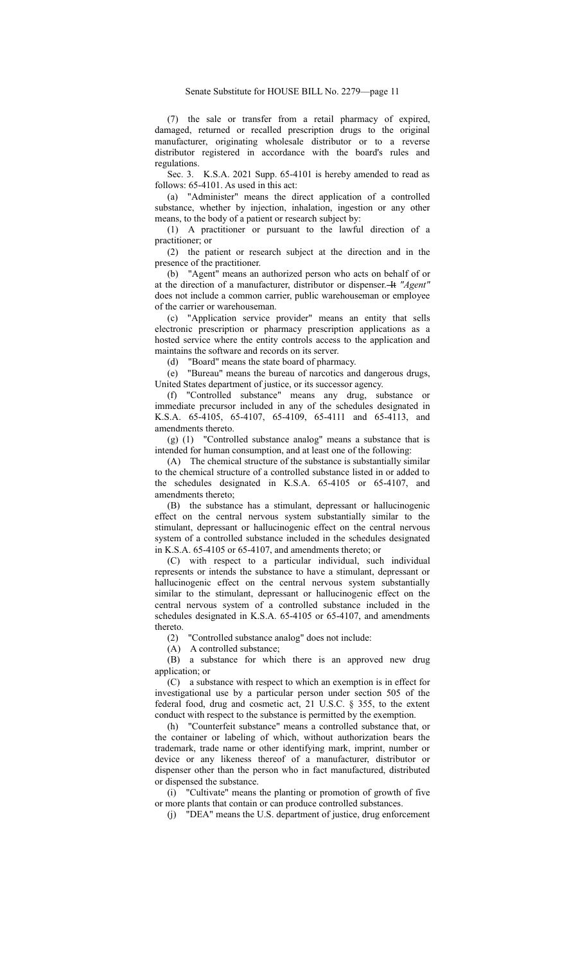(7) the sale or transfer from a retail pharmacy of expired, damaged, returned or recalled prescription drugs to the original manufacturer, originating wholesale distributor or to a reverse distributor registered in accordance with the board's rules and regulations.

Sec. 3. K.S.A. 2021 Supp. 65-4101 is hereby amended to read as follows: 65-4101. As used in this act:

(a) "Administer" means the direct application of a controlled substance, whether by injection, inhalation, ingestion or any other means, to the body of a patient or research subject by:

(1) A practitioner or pursuant to the lawful direction of a practitioner; or

(2) the patient or research subject at the direction and in the presence of the practitioner.

(b) "Agent" means an authorized person who acts on behalf of or at the direction of a manufacturer, distributor or dispenser. It *"Agent"* does not include a common carrier, public warehouseman or employee of the carrier or warehouseman.

(c) "Application service provider" means an entity that sells electronic prescription or pharmacy prescription applications as a hosted service where the entity controls access to the application and maintains the software and records on its server.

(d) "Board" means the state board of pharmacy.

(e) "Bureau" means the bureau of narcotics and dangerous drugs, United States department of justice, or its successor agency.

(f) "Controlled substance" means any drug, substance or immediate precursor included in any of the schedules designated in K.S.A. 65-4105, 65-4107, 65-4109, 65-4111 and 65-4113, and amendments thereto.

(g) (1) "Controlled substance analog" means a substance that is intended for human consumption, and at least one of the following:

(A) The chemical structure of the substance is substantially similar to the chemical structure of a controlled substance listed in or added to the schedules designated in K.S.A. 65-4105 or 65-4107, and amendments thereto;

(B) the substance has a stimulant, depressant or hallucinogenic effect on the central nervous system substantially similar to the stimulant, depressant or hallucinogenic effect on the central nervous system of a controlled substance included in the schedules designated in K.S.A. 65-4105 or 65-4107, and amendments thereto; or

(C) with respect to a particular individual, such individual represents or intends the substance to have a stimulant, depressant or hallucinogenic effect on the central nervous system substantially similar to the stimulant, depressant or hallucinogenic effect on the central nervous system of a controlled substance included in the schedules designated in K.S.A. 65-4105 or 65-4107, and amendments thereto.

(2) "Controlled substance analog" does not include:

(A) A controlled substance;

(B) a substance for which there is an approved new drug application; or

(C) a substance with respect to which an exemption is in effect for investigational use by a particular person under section 505 of the federal food, drug and cosmetic act, 21 U.S.C. § 355, to the extent conduct with respect to the substance is permitted by the exemption.

(h) "Counterfeit substance" means a controlled substance that, or the container or labeling of which, without authorization bears the trademark, trade name or other identifying mark, imprint, number or device or any likeness thereof of a manufacturer, distributor or dispenser other than the person who in fact manufactured, distributed or dispensed the substance.

(i) "Cultivate" means the planting or promotion of growth of five or more plants that contain or can produce controlled substances.

(j) "DEA" means the U.S. department of justice, drug enforcement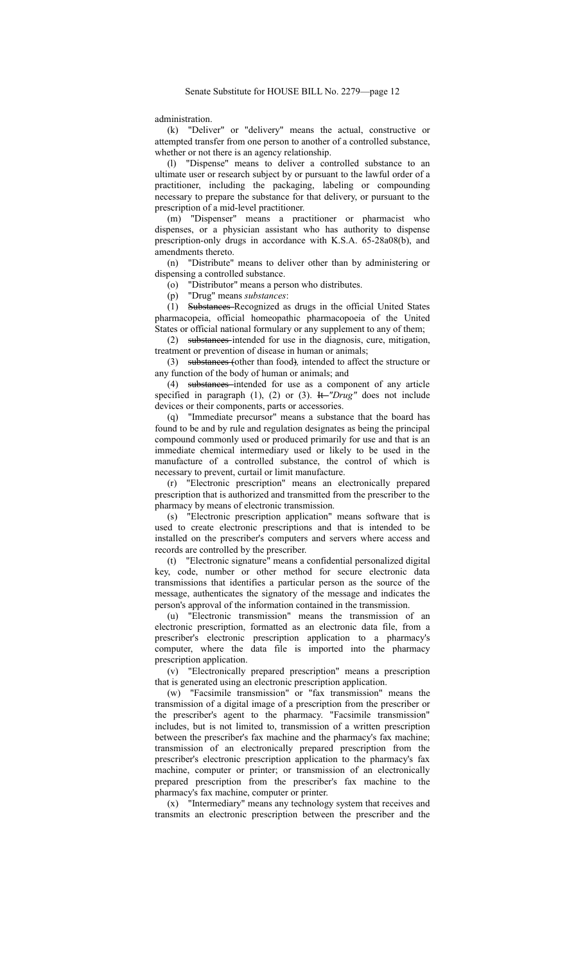administration.

(k) "Deliver" or "delivery" means the actual, constructive or attempted transfer from one person to another of a controlled substance, whether or not there is an agency relationship.

(l) "Dispense" means to deliver a controlled substance to an ultimate user or research subject by or pursuant to the lawful order of a practitioner, including the packaging, labeling or compounding necessary to prepare the substance for that delivery, or pursuant to the prescription of a mid-level practitioner.

(m) "Dispenser" means a practitioner or pharmacist who dispenses, or a physician assistant who has authority to dispense prescription-only drugs in accordance with K.S.A. 65-28a08(b), and amendments thereto.

(n) "Distribute" means to deliver other than by administering or dispensing a controlled substance.

(o) "Distributor" means a person who distributes.

(p) "Drug" means *substances*:

(1) Substances Recognized as drugs in the official United States pharmacopeia, official homeopathic pharmacopoeia of the United States or official national formulary or any supplement to any of them;

(2) substances intended for use in the diagnosis, cure, mitigation, treatment or prevention of disease in human or animals;

(3) substances (other than food)*,* intended to affect the structure or any function of the body of human or animals; and

(4) substances intended for use as a component of any article specified in paragraph (1), (2) or (3). It *"Drug"* does not include devices or their components, parts or accessories.

(q) "Immediate precursor" means a substance that the board has found to be and by rule and regulation designates as being the principal compound commonly used or produced primarily for use and that is an immediate chemical intermediary used or likely to be used in the manufacture of a controlled substance, the control of which is necessary to prevent, curtail or limit manufacture.

(r) "Electronic prescription" means an electronically prepared prescription that is authorized and transmitted from the prescriber to the pharmacy by means of electronic transmission.

(s) "Electronic prescription application" means software that is used to create electronic prescriptions and that is intended to be installed on the prescriber's computers and servers where access and records are controlled by the prescriber.

(t) "Electronic signature" means a confidential personalized digital key, code, number or other method for secure electronic data transmissions that identifies a particular person as the source of the message, authenticates the signatory of the message and indicates the person's approval of the information contained in the transmission.

(u) "Electronic transmission" means the transmission of an electronic prescription, formatted as an electronic data file, from a prescriber's electronic prescription application to a pharmacy's computer, where the data file is imported into the pharmacy prescription application.

(v) "Electronically prepared prescription" means a prescription that is generated using an electronic prescription application.

(w) "Facsimile transmission" or "fax transmission" means the transmission of a digital image of a prescription from the prescriber or the prescriber's agent to the pharmacy. "Facsimile transmission" includes, but is not limited to, transmission of a written prescription between the prescriber's fax machine and the pharmacy's fax machine; transmission of an electronically prepared prescription from the prescriber's electronic prescription application to the pharmacy's fax machine, computer or printer; or transmission of an electronically prepared prescription from the prescriber's fax machine to the pharmacy's fax machine, computer or printer.

(x) "Intermediary" means any technology system that receives and transmits an electronic prescription between the prescriber and the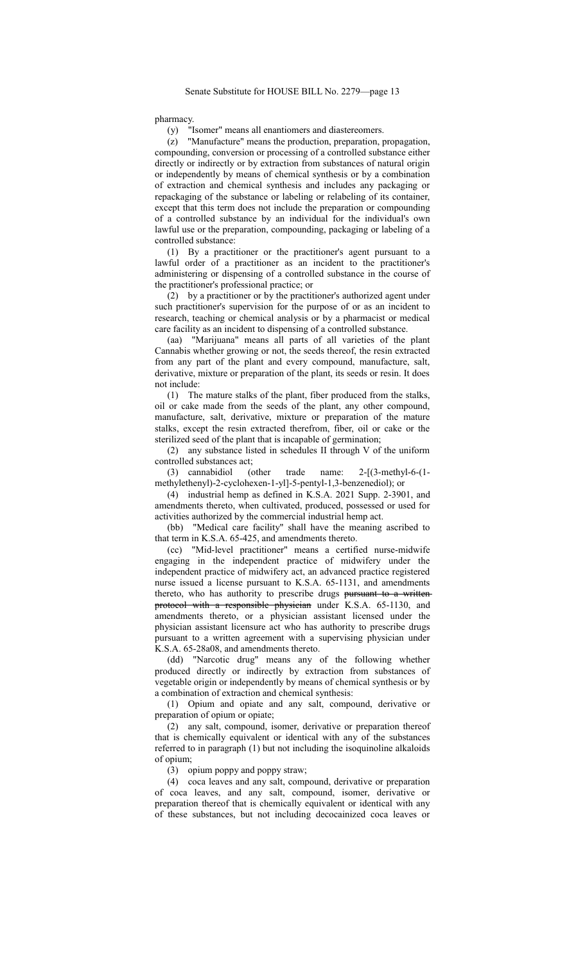pharmacy.

(y) "Isomer" means all enantiomers and diastereomers.

(z) "Manufacture" means the production, preparation, propagation, compounding, conversion or processing of a controlled substance either directly or indirectly or by extraction from substances of natural origin or independently by means of chemical synthesis or by a combination of extraction and chemical synthesis and includes any packaging or repackaging of the substance or labeling or relabeling of its container, except that this term does not include the preparation or compounding of a controlled substance by an individual for the individual's own lawful use or the preparation, compounding, packaging or labeling of a controlled substance:

(1) By a practitioner or the practitioner's agent pursuant to a lawful order of a practitioner as an incident to the practitioner's administering or dispensing of a controlled substance in the course of the practitioner's professional practice; or

(2) by a practitioner or by the practitioner's authorized agent under such practitioner's supervision for the purpose of or as an incident to research, teaching or chemical analysis or by a pharmacist or medical care facility as an incident to dispensing of a controlled substance.

(aa) "Marijuana" means all parts of all varieties of the plant Cannabis whether growing or not, the seeds thereof, the resin extracted from any part of the plant and every compound, manufacture, salt, derivative, mixture or preparation of the plant, its seeds or resin. It does not include:

(1) The mature stalks of the plant, fiber produced from the stalks, oil or cake made from the seeds of the plant, any other compound, manufacture, salt, derivative, mixture or preparation of the mature stalks, except the resin extracted therefrom, fiber, oil or cake or the sterilized seed of the plant that is incapable of germination;

(2) any substance listed in schedules II through V of the uniform controlled substances act;

(3) cannabidiol (other trade name: 2-[(3-methyl-6-(1 methylethenyl)-2-cyclohexen-1-yl]-5-pentyl-1,3-benzenediol); or

(4) industrial hemp as defined in K.S.A. 2021 Supp. 2-3901, and amendments thereto, when cultivated, produced, possessed or used for activities authorized by the commercial industrial hemp act.

(bb) "Medical care facility" shall have the meaning ascribed to that term in K.S.A. 65-425, and amendments thereto.

(cc) "Mid-level practitioner" means a certified nurse-midwife engaging in the independent practice of midwifery under the independent practice of midwifery act, an advanced practice registered nurse issued a license pursuant to K.S.A. 65-1131, and amendments thereto, who has authority to prescribe drugs pursuant to a writtenprotocol with a responsible physician under K.S.A. 65-1130, and amendments thereto, or a physician assistant licensed under the physician assistant licensure act who has authority to prescribe drugs pursuant to a written agreement with a supervising physician under K.S.A. 65-28a08, and amendments thereto.

(dd) "Narcotic drug" means any of the following whether produced directly or indirectly by extraction from substances of vegetable origin or independently by means of chemical synthesis or by a combination of extraction and chemical synthesis:

(1) Opium and opiate and any salt, compound, derivative or preparation of opium or opiate;

(2) any salt, compound, isomer, derivative or preparation thereof that is chemically equivalent or identical with any of the substances referred to in paragraph (1) but not including the isoquinoline alkaloids of opium;

(3) opium poppy and poppy straw;

(4) coca leaves and any salt, compound, derivative or preparation of coca leaves, and any salt, compound, isomer, derivative or preparation thereof that is chemically equivalent or identical with any of these substances, but not including decocainized coca leaves or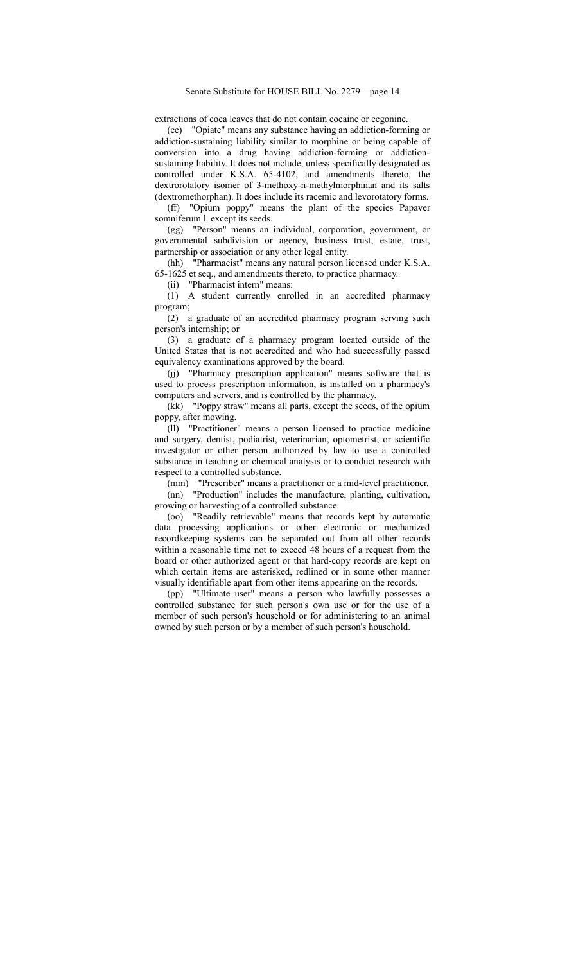## Senate Substitute for HOUSE BILL No. 2279—page 14

extractions of coca leaves that do not contain cocaine or ecgonine.

(ee) "Opiate" means any substance having an addiction-forming or addiction-sustaining liability similar to morphine or being capable of conversion into a drug having addiction-forming or addictionsustaining liability. It does not include, unless specifically designated as controlled under K.S.A. 65-4102, and amendments thereto, the dextrorotatory isomer of 3-methoxy-n-methylmorphinan and its salts (dextromethorphan). It does include its racemic and levorotatory forms.

(ff) "Opium poppy" means the plant of the species Papaver somniferum l. except its seeds.

(gg) "Person" means an individual, corporation, government, or governmental subdivision or agency, business trust, estate, trust, partnership or association or any other legal entity.

(hh) "Pharmacist" means any natural person licensed under K.S.A. 65-1625 et seq., and amendments thereto, to practice pharmacy.

(ii) "Pharmacist intern" means:

(1) A student currently enrolled in an accredited pharmacy program;

(2) a graduate of an accredited pharmacy program serving such person's internship; or

(3) a graduate of a pharmacy program located outside of the United States that is not accredited and who had successfully passed equivalency examinations approved by the board.

(jj) "Pharmacy prescription application" means software that is used to process prescription information, is installed on a pharmacy's computers and servers, and is controlled by the pharmacy.

(kk) "Poppy straw" means all parts, except the seeds, of the opium poppy, after mowing.

(ll) "Practitioner" means a person licensed to practice medicine and surgery, dentist, podiatrist, veterinarian, optometrist, or scientific investigator or other person authorized by law to use a controlled substance in teaching or chemical analysis or to conduct research with respect to a controlled substance.

(mm) "Prescriber" means a practitioner or a mid-level practitioner.

(nn) "Production" includes the manufacture, planting, cultivation, growing or harvesting of a controlled substance.

(oo) "Readily retrievable" means that records kept by automatic data processing applications or other electronic or mechanized recordkeeping systems can be separated out from all other records within a reasonable time not to exceed 48 hours of a request from the board or other authorized agent or that hard-copy records are kept on which certain items are asterisked, redlined or in some other manner visually identifiable apart from other items appearing on the records.

(pp) "Ultimate user" means a person who lawfully possesses a controlled substance for such person's own use or for the use of a member of such person's household or for administering to an animal owned by such person or by a member of such person's household.